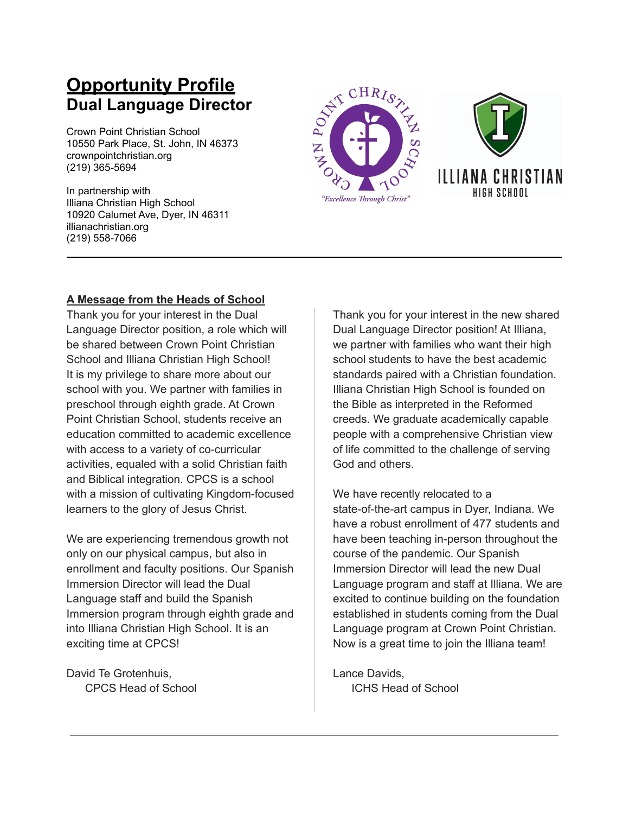# **Opportunity Profile Dual Language Director**

Crown Point Christian School 10550 Park Place, St. John, IN 46373 crownpointchristian.org (219) 365-5694

In partnership with Illiana Christian High School 10920 Calumet Ave, Dyer, IN 46311 illianachristian.org (219) 558-7066





## **A Message from the Heads of School**

Thank you for your interest in the Dual Language Director position, a role which will be shared between Crown Point Christian School and Illiana Christian High School! It is my privilege to share more about our school with you. We partner with families in preschool through eighth grade. At Crown Point Christian School, students receive an education committed to academic excellence with access to a variety of co-curricular activities, equaled with a solid Christian faith and Biblical integration. CPCS is a school with a mission of cultivating Kingdom-focused learners to the glory of Jesus Christ.

We are experiencing tremendous growth not only on our physical campus, but also in enrollment and faculty positions. Our Spanish Immersion Director will lead the Dual Language staff and build the Spanish Immersion program through eighth grade and into Illiana Christian High School. It is an exciting time at CPCS!

David Te Grotenhuis, CPCS Head of School Thank you for your interest in the new shared Dual Language Director position! At Illiana, we partner with families who want their high school students to have the best academic standards paired with a Christian foundation. Illiana Christian High School is founded on the Bible as interpreted in the Reformed creeds. We graduate academically capable people with a comprehensive Christian view of life committed to the challenge of serving God and others.

We have recently relocated to a state-of-the-art campus in Dyer, Indiana. We have a robust enrollment of 477 students and have been teaching in-person throughout the course of the pandemic. Our Spanish Immersion Director will lead the new Dual Language program and staff at Illiana. We are excited to continue building on the foundation established in students coming from the Dual Language program at Crown Point Christian. Now is a great time to join the Illiana team!

Lance Davids, ICHS Head of School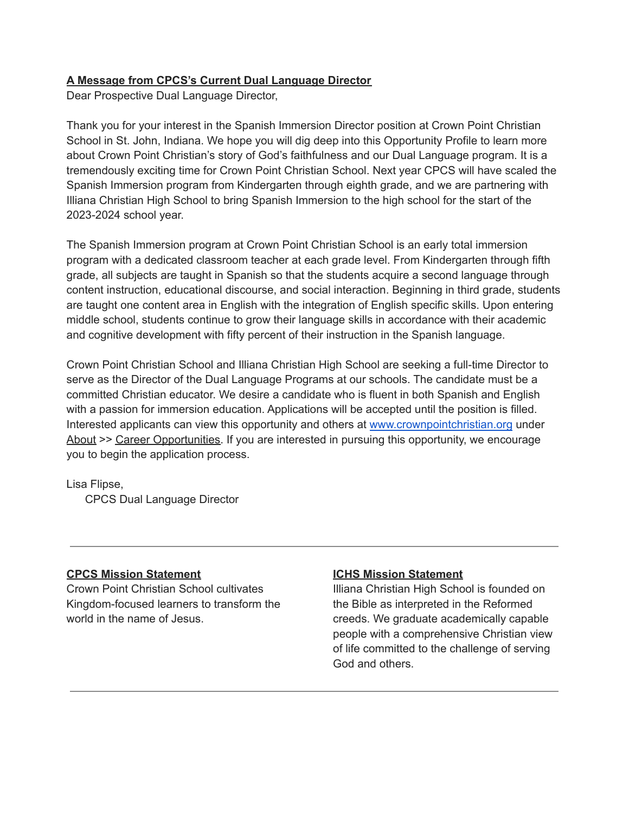#### **A Message from CPCS's Current Dual Language Director**

Dear Prospective Dual Language Director,

Thank you for your interest in the Spanish Immersion Director position at Crown Point Christian School in St. John, Indiana. We hope you will dig deep into this Opportunity Profile to learn more about Crown Point Christian's story of God's faithfulness and our Dual Language program. It is a tremendously exciting time for Crown Point Christian School. Next year CPCS will have scaled the Spanish Immersion program from Kindergarten through eighth grade, and we are partnering with Illiana Christian High School to bring Spanish Immersion to the high school for the start of the 2023-2024 school year.

The Spanish Immersion program at Crown Point Christian School is an early total immersion program with a dedicated classroom teacher at each grade level. From Kindergarten through fifth grade, all subjects are taught in Spanish so that the students acquire a second language through content instruction, educational discourse, and social interaction. Beginning in third grade, students are taught one content area in English with the integration of English specific skills. Upon entering middle school, students continue to grow their language skills in accordance with their academic and cognitive development with fifty percent of their instruction in the Spanish language.

Crown Point Christian School and Illiana Christian High School are seeking a full-time Director to serve as the Director of the Dual Language Programs at our schools. The candidate must be a committed Christian educator. We desire a candidate who is fluent in both Spanish and English with a passion for immersion education. Applications will be accepted until the position is filled. Interested applicants can view this opportunity and others at [www.crownpointchristian.org](http://www.crownpointchristian.org/) under About >> Career Opportunities. If you are interested in pursuing this opportunity, we encourage you to begin the application process.

Lisa Flipse,

CPCS Dual Language Director

#### **CPCS Mission Statement**

Crown Point Christian School cultivates Kingdom-focused learners to transform the world in the name of Jesus.

## **ICHS Mission Statement**

Illiana Christian High School is founded on the Bible as interpreted in the Reformed creeds. We graduate academically capable people with a comprehensive Christian view of life committed to the challenge of serving God and others.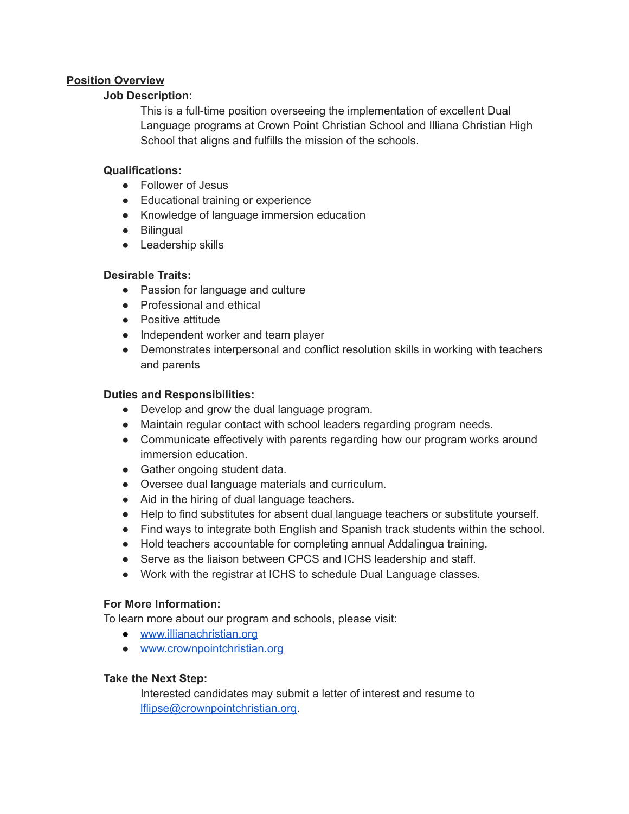#### **Position Overview**

#### **Job Description:**

This is a full-time position overseeing the implementation of excellent Dual Language programs at Crown Point Christian School and Illiana Christian High School that aligns and fulfills the mission of the schools.

#### **Qualifications:**

- Follower of Jesus
- Educational training or experience
- Knowledge of language immersion education
- Bilingual
- Leadership skills

## **Desirable Traits:**

- Passion for language and culture
- Professional and ethical
- Positive attitude
- Independent worker and team player
- Demonstrates interpersonal and conflict resolution skills in working with teachers and parents

#### **Duties and Responsibilities:**

- Develop and grow the dual language program.
- Maintain regular contact with school leaders regarding program needs.
- Communicate effectively with parents regarding how our program works around immersion education.
- Gather ongoing student data.
- Oversee dual language materials and curriculum.
- Aid in the hiring of dual language teachers.
- Help to find substitutes for absent dual language teachers or substitute yourself.
- Find ways to integrate both English and Spanish track students within the school.
- Hold teachers accountable for completing annual Addalingua training.
- Serve as the liaison between CPCS and ICHS leadership and staff.
- Work with the registrar at ICHS to schedule Dual Language classes.

## **For More Information:**

To learn more about our program and schools, please visit:

- [www.illianachristian.org](http://www.illianachristian.org)
- [www.crownpointchristian.org](https://www.crownpointchristian.org/)

## **Take the Next Step:**

Interested candidates may submit a letter of interest and resume to [lflipse@crownpointchristian.org](mailto:lflipse@crownpointchristian.org).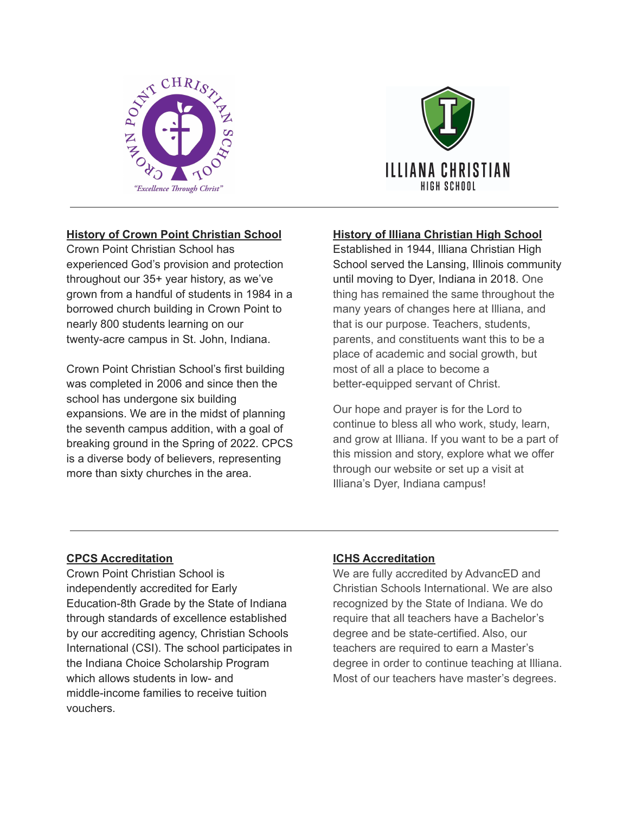



## **History of Crown Point Christian School**

Crown Point Christian School has experienced God's provision and protection throughout our 35+ year history, as we've grown from a handful of students in 1984 in a borrowed church building in Crown Point to nearly 800 students learning on our twenty-acre campus in St. John, Indiana.

Crown Point Christian School's first building was completed in 2006 and since then the school has undergone six building expansions. We are in the midst of planning the seventh campus addition, with a goal of breaking ground in the Spring of 2022. CPCS is a diverse body of believers, representing more than sixty churches in the area.

## **History of Illiana Christian High School**

Established in 1944, Illiana Christian High School served the Lansing, Illinois community until moving to Dyer, Indiana in 2018. One thing has remained the same throughout the many years of changes here at Illiana, and that is our purpose. Teachers, students, parents, and constituents want this to be a place of academic and social growth, but most of all a place to become a better-equipped servant of Christ.

Our hope and prayer is for the Lord to continue to bless all who work, study, learn, and grow at Illiana. If you want to be a part of this mission and story, explore what we offer through our website or set up a visit at Illiana's Dyer, Indiana campus!

## **CPCS Accreditation**

Crown Point Christian School is independently accredited for Early Education-8th Grade by the State of Indiana through standards of excellence established by our accrediting agency, Christian Schools International (CSI). The school participates in the Indiana Choice Scholarship Program which allows students in low- and middle-income families to receive tuition vouchers.

#### **ICHS Accreditation**

We are fully accredited by AdvancED and Christian Schools International. We are also recognized by the State of Indiana. We do require that all teachers have a Bachelor's degree and be state-certified. Also, our teachers are required to earn a Master's degree in order to continue teaching at Illiana. Most of our teachers have master's degrees.